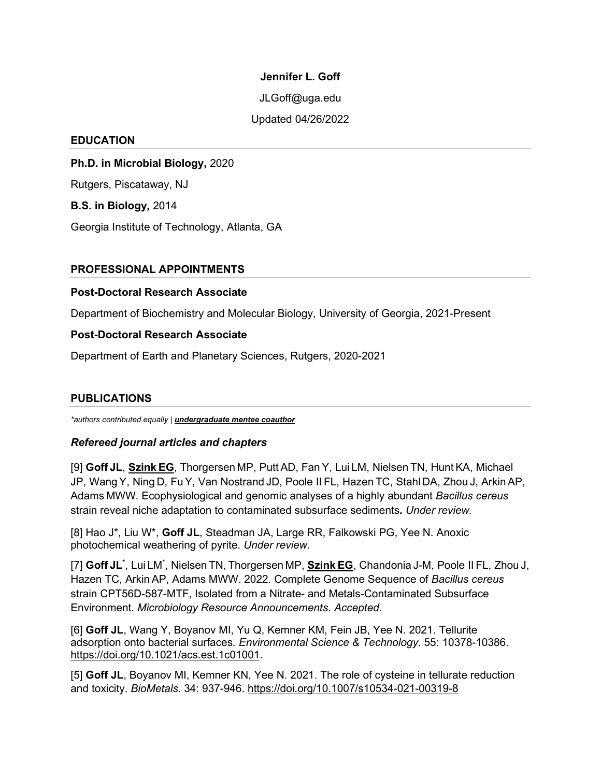### **Jennifer L. Goff**

JLGoff@uga.edu

Updated 04/26/2022

#### **EDUCATION**

**Ph.D. in Microbial Biology,** 2020

Rutgers, Piscataway, NJ

**B.S. in Biology,** 2014

Georgia Institute of Technology, Atlanta, GA

# **PROFESSIONAL APPOINTMENTS**

### **Post-Doctoral Research Associate**

Department of Biochemistry and Molecular Biology, University of Georgia, 2021-Present

## **Post-Doctoral Research Associate**

Department of Earth and Planetary Sciences, Rutgers, 2020-2021

## **PUBLICATIONS**

*\*authors contributed equally* | *undergraduate mentee coauthor*

## *Refereed journal articles and chapters*

[9] **Goff JL**, **Szink EG**, Thorgersen MP, Putt AD, Fan Y, Lui LM, Nielsen TN, Hunt KA, Michael JP, Wang Y, Ning D, FuY, Van Nostrand JD, Poole II FL, Hazen TC, Stahl DA, Zhou J, Arkin AP, Adams MWW. Ecophysiological and genomic analyses of a highly abundant *Bacillus cereus*  strain reveal niche adaptation to contaminated subsurface sediments**.** *Under review.*

[8] Hao J\*, Liu W\*, **Goff JL**, Steadman JA, Large RR, Falkowski PG, Yee N. Anoxic photochemical weathering of pyrite. *Under review.*

[7] **Goff JL\*** , Lui LM\* , Nielsen TN, Thorgersen MP, **Szink EG**, Chandonia J-M, Poole II FL, Zhou J, Hazen TC, Arkin AP, Adams MWW. 2022. Complete Genome Sequence of *Bacillus cereus* strain CPT56D-587-MTF, Isolated from a Nitrate- and Metals-Contaminated Subsurface Environment. *Microbiology Resource Announcements*. *Accepted.*

[6] **Goff JL**, Wang Y, Boyanov MI, Yu Q, Kemner KM, Fein JB, Yee N. 2021. Tellurite adsorption onto bacterial surfaces*. Environmental Science & Technology.* 55: 10378-10386. [https://doi.org/10.1021/acs.est.1c01001.](https://doi.org/10.1021/acs.est.1c01001)

[5] **Goff JL**, Boyanov MI, Kemner KN, Yee N. 2021. The role of cysteine in tellurate reduction and toxicity. *BioMetals.* 34: 937-946.<https://doi.org/10.1007/s10534-021-00319-8>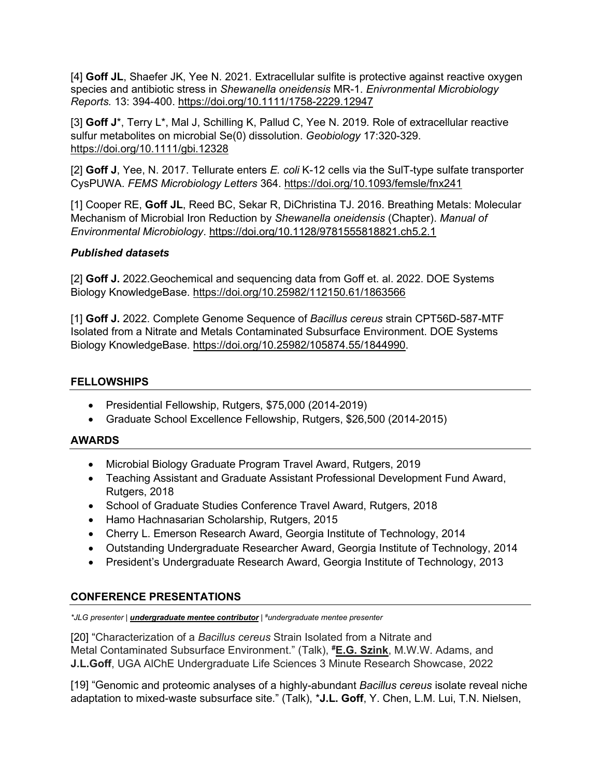[4] **Goff JL**, Shaefer JK, Yee N. 2021. Extracellular sulfite is protective against reactive oxygen species and antibiotic stress in *Shewanella oneidensis* MR-1. *Enivronmental Microbiology Reports.* 13: 394-400.<https://doi.org/10.1111/1758-2229.12947>

[3] **Goff J**\*, Terry L\*, Mal J, Schilling K, Pallud C, Yee N. 2019. Role of extracellular reactive sulfur metabolites on microbial Se(0) dissolution. *Geobiology* 17:320-329. <https://doi.org/10.1111/gbi.12328>

[2] **Goff J**, Yee, N. 2017. Tellurate enters *E. coli* K-12 cells via the SulT-type sulfate transporter CysPUWA. *FEMS Microbiology Letters* 364.<https://doi.org/10.1093/femsle/fnx241>

[1] Cooper RE, **Goff JL**, Reed BC, Sekar R, DiChristina TJ. 2016. Breathing Metals: Molecular Mechanism of Microbial Iron Reduction by *Shewanella oneidensis* (Chapter). *Manual of Environmental Microbiology*.<https://doi.org/10.1128/9781555818821.ch5.2.1>

# *Published datasets*

[2] **Goff J.** 2022.Geochemical and sequencing data from Goff et. al. 2022. DOE Systems Biology KnowledgeBase.<https://doi.org/10.25982/112150.61/1863566>

[1] **Goff J.** 2022. Complete Genome Sequence of *Bacillus cereus* strain CPT56D-587-MTF Isolated from a Nitrate and Metals Contaminated Subsurface Environment. DOE Systems Biology KnowledgeBase. [https://doi.org/10.25982/105874.55/1844990.](https://doi.org/10.25982/105874.55/1844990)

# **FELLOWSHIPS**

- Presidential Fellowship, Rutgers, \$75,000 (2014-2019)
- Graduate School Excellence Fellowship, Rutgers, \$26,500 (2014-2015)

## **AWARDS**

- Microbial Biology Graduate Program Travel Award, Rutgers, 2019
- Teaching Assistant and Graduate Assistant Professional Development Fund Award, Rutgers, 2018
- School of Graduate Studies Conference Travel Award, Rutgers, 2018
- Hamo Hachnasarian Scholarship, Rutgers, 2015
- Cherry L. Emerson Research Award, Georgia Institute of Technology, 2014
- Outstanding Undergraduate Researcher Award, Georgia Institute of Technology, 2014
- President's Undergraduate Research Award, Georgia Institute of Technology, 2013

# **CONFERENCE PRESENTATIONS**

*\*JLG presenter* | *undergraduate mentee contributor* | *# undergraduate mentee presenter*

[20] "Characterization of a *Bacillus cereus* Strain Isolated from a Nitrate and Metal Contaminated Subsurface Environment." (Talk), **# E.G. Szink**, M.W.W. Adams, and **J.L.Goff**, UGA AlChE Undergraduate Life Sciences 3 Minute Research Showcase, 2022

[19] "Genomic and proteomic analyses of a highly-abundant *Bacillus cereus* isolate reveal niche adaptation to mixed-waste subsurface site." (Talk), \***J.L. Goff**, Y. Chen, L.M. Lui, T.N. Nielsen,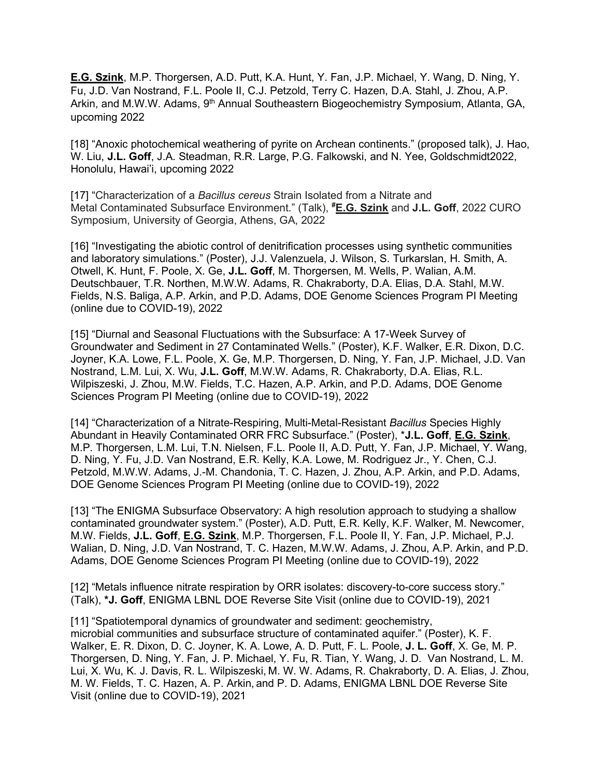**E.G. Szink**, M.P. Thorgersen, A.D. Putt, K.A. Hunt, Y. Fan, J.P. Michael, Y. Wang, D. Ning, Y. Fu, J.D. Van Nostrand, F.L. Poole II, C.J. Petzold, Terry C. Hazen, D.A. Stahl, J. Zhou, A.P. Arkin, and M.W.W. Adams, 9<sup>th</sup> Annual Southeastern Biogeochemistry Symposium, Atlanta, GA, upcoming 2022

[18] "Anoxic photochemical weathering of pyrite on Archean continents." (proposed talk), J. Hao, W. Liu, **J.L. Goff**, J.A. Steadman, R.R. Large, P.G. Falkowski, and N. Yee, Goldschmidt2022, Honolulu, Hawai'i, upcoming 2022

[17] "Characterization of a *Bacillus cereus* Strain Isolated from a Nitrate and Metal Contaminated Subsurface Environment." (Talk), **# E.G. Szink** and **J.L. Goff**, 2022 CURO Symposium, University of Georgia, Athens, GA, 2022

[16] "Investigating the abiotic control of denitrification processes using synthetic communities and laboratory simulations." (Poster), J.J. Valenzuela, J. Wilson, S. Turkarslan, H. Smith, A. Otwell, K. Hunt, F. Poole, X. Ge, **J.L. Goff**, M. Thorgersen, M. Wells, P. Walian, A.M. Deutschbauer, T.R. Northen, M.W.W. Adams, R. Chakraborty, D.A. Elias, D.A. Stahl, M.W. Fields, N.S. Baliga, A.P. Arkin, and P.D. Adams, DOE Genome Sciences Program PI Meeting (online due to COVID-19), 2022

[15] "Diurnal and Seasonal Fluctuations with the Subsurface: A 17-Week Survey of Groundwater and Sediment in 27 Contaminated Wells." (Poster), K.F. Walker, E.R. Dixon, D.C. Joyner, K.A. Lowe, F.L. Poole, X. Ge, M.P. Thorgersen, D. Ning, Y. Fan, J.P. Michael, J.D. Van Nostrand, L.M. Lui, X. Wu, **J.L. Goff**, M.W.W. Adams, R. Chakraborty, D.A. Elias, R.L. Wilpiszeski, J. Zhou, M.W. Fields, T.C. Hazen, A.P. Arkin, and P.D. Adams, DOE Genome Sciences Program PI Meeting (online due to COVID-19), 2022

[14] "Characterization of a Nitrate-Respiring, Multi-Metal-Resistant *Bacillus* Species Highly Abundant in Heavily Contaminated ORR FRC Subsurface." (Poster), \***J.L. Goff**, **E.G. Szink**, M.P. Thorgersen, L.M. Lui, T.N. Nielsen, F.L. Poole II, A.D. Putt, Y. Fan, J.P. Michael, Y. Wang, D. Ning, Y. Fu, J.D. Van Nostrand, E.R. Kelly, K.A. Lowe, M. Rodriguez Jr., Y. Chen, C.J. Petzold, M.W.W. Adams, J.-M. Chandonia, T. C. Hazen, J. Zhou, A.P. Arkin, and P.D. Adams, DOE Genome Sciences Program PI Meeting (online due to COVID-19), 2022

[13] "The ENIGMA Subsurface Observatory: A high resolution approach to studying a shallow contaminated groundwater system." (Poster), A.D. Putt, E.R. Kelly, K.F. Walker, M. Newcomer, M.W. Fields, **J.L. Goff**, **E.G. Szink**, M.P. Thorgersen, F.L. Poole II, Y. Fan, J.P. Michael, P.J. Walian, D. Ning, J.D. Van Nostrand, T. C. Hazen, M.W.W. Adams, J. Zhou, A.P. Arkin, and P.D. Adams, DOE Genome Sciences Program PI Meeting (online due to COVID-19), 2022

[12] "Metals influence nitrate respiration by ORR isolates: discovery-to-core success story." (Talk), **\*J. Goff**, ENIGMA LBNL DOE Reverse Site Visit (online due to COVID-19), 2021

[11] "Spatiotemporal dynamics of groundwater and sediment: geochemistry, microbial communities and subsurface structure of contaminated aquifer." (Poster), K. F. Walker, E. R. Dixon, D. C. Joyner, K. A. Lowe, A. D. Putt, F. L. Poole, **J. L. Goff**, X. Ge, M. P. Thorgersen, D. Ning, Y. Fan, J. P. Michael, Y. Fu, R. Tian, Y. Wang, J. D. Van Nostrand, L. M. Lui, X. Wu, K. J. Davis, R. L. Wilpiszeski, M. W. W. Adams, R. Chakraborty, D. A. Elias, J. Zhou, M. W. Fields, T. C. Hazen, A. P. Arkin, and P. D. Adams, ENIGMA LBNL DOE Reverse Site Visit (online due to COVID-19), 2021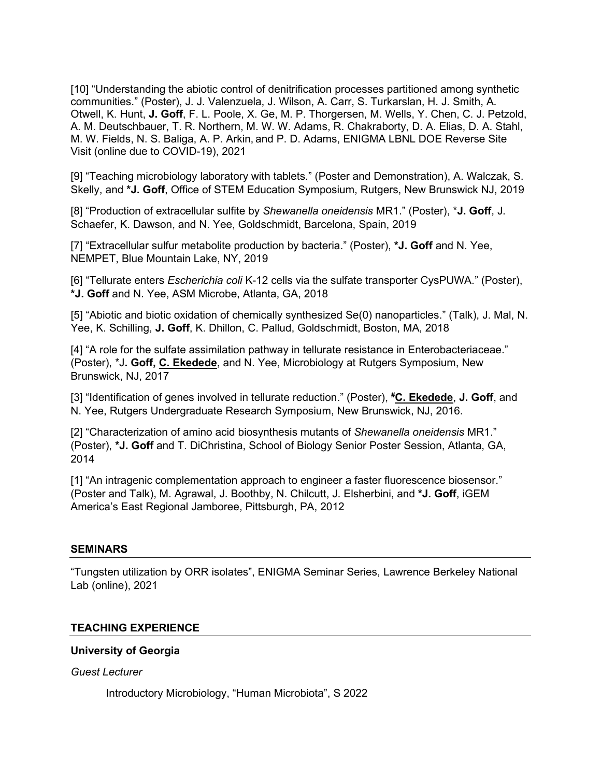[10] "Understanding the abiotic control of denitrification processes partitioned among synthetic communities." (Poster), J. J. Valenzuela, J. Wilson, A. Carr, S. Turkarslan, H. J. Smith, A. Otwell, K. Hunt, **J. Goff**, F. L. Poole, X. Ge, M. P. Thorgersen, M. Wells, Y. Chen, C. J. Petzold, A. M. Deutschbauer, T. R. Northern, M. W. W. Adams, R. Chakraborty, D. A. Elias, D. A. Stahl, M. W. Fields, N. S. Baliga, A. P. Arkin, and P. D. Adams, ENIGMA LBNL DOE Reverse Site Visit (online due to COVID-19), 2021

[9] "Teaching microbiology laboratory with tablets." (Poster and Demonstration), A. Walczak, S. Skelly, and **\*J. Goff**, Office of STEM Education Symposium, Rutgers, New Brunswick NJ, 2019

[8] "Production of extracellular sulfite by *Shewanella oneidensis* MR1." (Poster), \***J. Goff**, J. Schaefer, K. Dawson, and N. Yee, Goldschmidt, Barcelona, Spain, 2019

[7] "Extracellular sulfur metabolite production by bacteria." (Poster), **\*J. Goff** and N. Yee, NEMPET, Blue Mountain Lake, NY, 2019

[6] "Tellurate enters *Escherichia coli* K-12 cells via the sulfate transporter CysPUWA." (Poster), **\*J. Goff** and N. Yee, ASM Microbe, Atlanta, GA, 2018

[5] "Abiotic and biotic oxidation of chemically synthesized Se(0) nanoparticles." (Talk), J. Mal, N. Yee, K. Schilling, **J. Goff**, K. Dhillon, C. Pallud, Goldschmidt, Boston, MA, 2018

[4] "A role for the sulfate assimilation pathway in tellurate resistance in Enterobacteriaceae." (Poster), \*J**. Goff, C. Ekedede**, and N. Yee, Microbiology at Rutgers Symposium, New Brunswick, NJ, 2017

[3] "Identification of genes involved in tellurate reduction." (Poster), **# C. Ekedede**, **J. Goff**, and N. Yee, Rutgers Undergraduate Research Symposium, New Brunswick, NJ, 2016.

[2] "Characterization of amino acid biosynthesis mutants of *Shewanella oneidensis* MR1." (Poster), **\*J. Goff** and T. DiChristina, School of Biology Senior Poster Session, Atlanta, GA, 2014

[1] "An intragenic complementation approach to engineer a faster fluorescence biosensor." (Poster and Talk), M. Agrawal, J. Boothby, N. Chilcutt, J. Elsherbini, and **\*J. Goff**, iGEM America's East Regional Jamboree, Pittsburgh, PA, 2012

#### **SEMINARS**

"Tungsten utilization by ORR isolates", ENIGMA Seminar Series, Lawrence Berkeley National Lab (online), 2021

#### **TEACHING EXPERIENCE**

#### **University of Georgia**

*Guest Lecturer*

Introductory Microbiology, "Human Microbiota", S 2022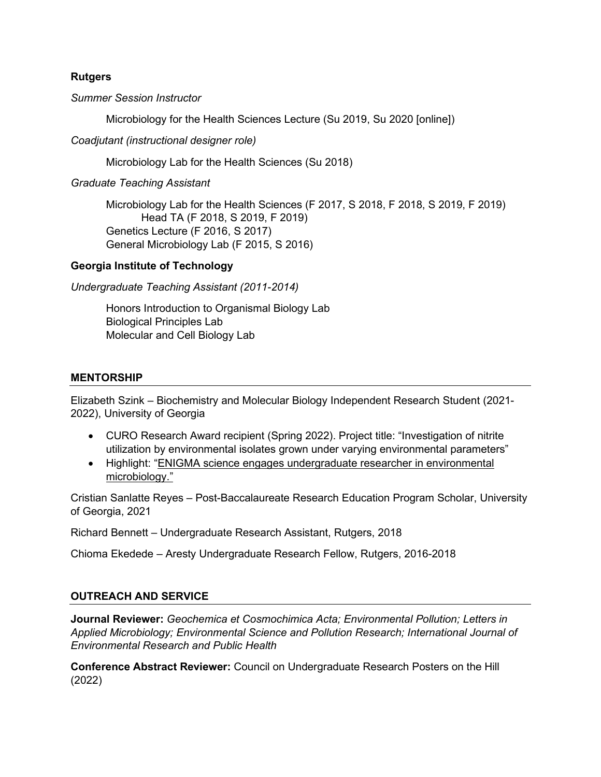## **Rutgers**

*Summer Session Instructor*

Microbiology for the Health Sciences Lecture (Su 2019, Su 2020 [online])

*Coadjutant (instructional designer role)*

Microbiology Lab for the Health Sciences (Su 2018)

*Graduate Teaching Assistant*

Microbiology Lab for the Health Sciences (F 2017, S 2018, F 2018, S 2019, F 2019) Head TA (F 2018, S 2019, F 2019) Genetics Lecture (F 2016, S 2017) General Microbiology Lab (F 2015, S 2016)

# **Georgia Institute of Technology**

*Undergraduate Teaching Assistant (2011-2014)*

Honors Introduction to Organismal Biology Lab Biological Principles Lab Molecular and Cell Biology Lab

# **MENTORSHIP**

Elizabeth Szink – Biochemistry and Molecular Biology Independent Research Student (2021- 2022), University of Georgia

- CURO Research Award recipient (Spring 2022). Project title: "Investigation of nitrite utilization by environmental isolates grown under varying environmental parameters"
- Highlight: ["ENIGMA science engages undergraduate researcher in environmental](https://enigma.lbl.gov/enigma-science-engages-undergraduate-researcher-in-environmental-microbiology/)  [microbiology."](https://enigma.lbl.gov/enigma-science-engages-undergraduate-researcher-in-environmental-microbiology/)

Cristian Sanlatte Reyes – Post-Baccalaureate Research Education Program Scholar, University of Georgia, 2021

Richard Bennett – Undergraduate Research Assistant, Rutgers, 2018

Chioma Ekedede – Aresty Undergraduate Research Fellow, Rutgers, 2016-2018

# **OUTREACH AND SERVICE**

**Journal Reviewer:** *Geochemica et Cosmochimica Acta; Environmental Pollution; Letters in Applied Microbiology; Environmental Science and Pollution Research; International Journal of Environmental Research and Public Health*

**Conference Abstract Reviewer:** Council on Undergraduate Research Posters on the Hill (2022)